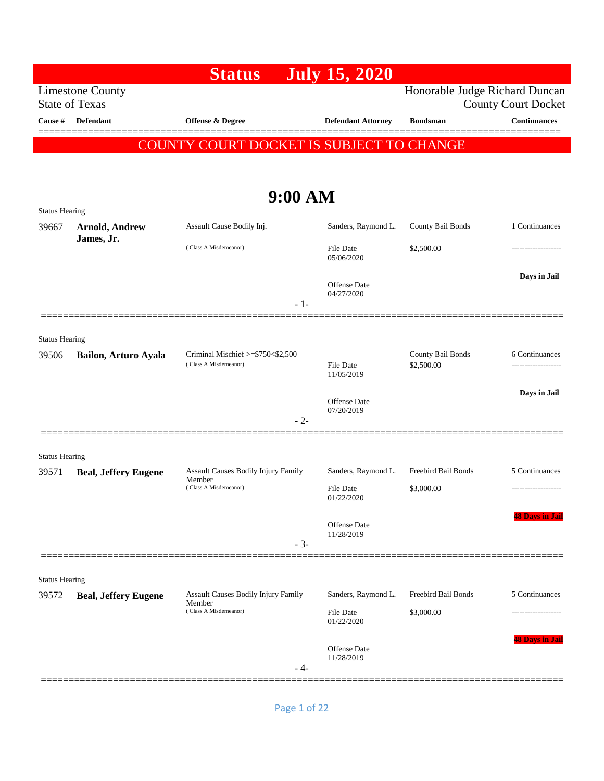|                                          |                             | <b>Status</b> July 15, 2020 |                 |                                |  |  |  |
|------------------------------------------|-----------------------------|-----------------------------|-----------------|--------------------------------|--|--|--|
| <b>Limestone County</b>                  |                             |                             |                 | Honorable Judge Richard Duncan |  |  |  |
| <b>State of Texas</b>                    |                             |                             |                 | <b>County Court Docket</b>     |  |  |  |
| Defendant<br><b>Cause</b> #              | <b>Offense &amp; Degree</b> | <b>Defendant Attorney</b>   | <b>Bondsman</b> | Continuances                   |  |  |  |
| COUNTY COURT DOCKET IS SUBJECT TO CHANGE |                             |                             |                 |                                |  |  |  |

## **9:00 AM**

| <b>Status Hearing</b>               |                                                                         |                            |                                 |                       |
|-------------------------------------|-------------------------------------------------------------------------|----------------------------|---------------------------------|-----------------------|
| <b>Arnold, Andrew</b><br>James, Jr. | Assault Cause Bodily Inj.                                               | Sanders, Raymond L.        | County Bail Bonds               | 1 Continuances        |
|                                     | (Class A Misdemeanor)                                                   | File Date<br>05/06/2020    | \$2,500.00                      |                       |
|                                     | $-1-$                                                                   | Offense Date<br>04/27/2020 |                                 | Days in Jail          |
|                                     |                                                                         |                            |                                 |                       |
| Bailon, Arturo Ayala                | Criminal Mischief >=\$750<\$2,500<br>(Class A Misdemeanor)              | File Date<br>11/05/2019    | County Bail Bonds<br>\$2,500.00 | 6 Continuances<br>.   |
|                                     | $-2-$                                                                   | Offense Date<br>07/20/2019 |                                 | Days in Jail          |
|                                     |                                                                         |                            |                                 |                       |
| <b>Beal, Jeffery Eugene</b>         | Assault Causes Bodily Injury Family                                     | Sanders, Raymond L.        | Freebird Bail Bonds             | 5 Continuances        |
|                                     | (Class A Misdemeanor)                                                   | File Date<br>01/22/2020    | \$3,000.00                      |                       |
|                                     | $-3-$                                                                   | Offense Date<br>11/28/2019 |                                 | 48 Days in Jail       |
|                                     |                                                                         |                            |                                 |                       |
| <b>Beal, Jeffery Eugene</b>         | Assault Causes Bodily Injury Family                                     | Sanders, Raymond L.        | Freebird Bail Bonds             | 5 Continuances        |
|                                     | (Class A Misdemeanor)                                                   | File Date<br>01/22/2020    | \$3,000.00                      |                       |
|                                     | - 4-                                                                    | Offense Date<br>11/28/2019 |                                 | <b>48 Days in Jai</b> |
|                                     | <b>Status Hearing</b><br><b>Status Hearing</b><br><b>Status Hearing</b> | Member<br>Member           |                                 |                       |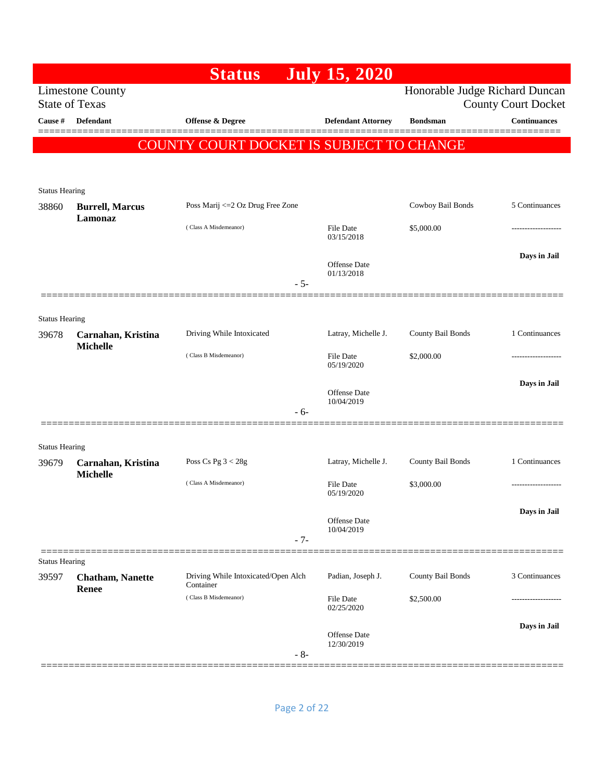|                                |                                                  | <b>Status</b>                                    |       | <b>July 15, 2020</b>              |                                |                            |
|--------------------------------|--------------------------------------------------|--------------------------------------------------|-------|-----------------------------------|--------------------------------|----------------------------|
|                                | <b>Limestone County</b><br><b>State of Texas</b> |                                                  |       |                                   | Honorable Judge Richard Duncan | <b>County Court Docket</b> |
| Cause #                        | <b>Defendant</b>                                 | Offense & Degree                                 |       | <b>Defendant Attorney</b>         | <b>Bondsman</b>                | <b>Continuances</b>        |
|                                |                                                  | COUNTY COURT DOCKET IS SUBJECT TO CHANGE         |       |                                   |                                | =======                    |
|                                |                                                  |                                                  |       |                                   |                                |                            |
| <b>Status Hearing</b>          |                                                  |                                                  |       |                                   |                                |                            |
| 38860                          | <b>Burrell, Marcus</b>                           | Poss Marij <= 2 Oz Drug Free Zone                |       |                                   | Cowboy Bail Bonds              | 5 Continuances             |
|                                | Lamonaz                                          | (Class A Misdemeanor)                            |       | <b>File Date</b><br>03/15/2018    | \$5,000.00                     |                            |
|                                |                                                  |                                                  | $-5-$ | <b>Offense Date</b><br>01/13/2018 |                                | Days in Jail               |
|                                |                                                  |                                                  |       |                                   |                                |                            |
| <b>Status Hearing</b>          |                                                  |                                                  |       |                                   |                                |                            |
| 39678                          | Carnahan, Kristina<br><b>Michelle</b>            | Driving While Intoxicated                        |       | Latray, Michelle J.               | County Bail Bonds              | 1 Continuances             |
|                                |                                                  | (Class B Misdemeanor)                            |       | File Date<br>05/19/2020           | \$2,000.00                     |                            |
|                                |                                                  |                                                  |       | Offense Date<br>10/04/2019        |                                | Days in Jail               |
|                                |                                                  |                                                  | - 6-  |                                   |                                |                            |
|                                |                                                  |                                                  |       |                                   |                                |                            |
| <b>Status Hearing</b><br>39679 | Carnahan, Kristina<br><b>Michelle</b>            | Poss Cs Pg $3 < 28g$                             |       | Latray, Michelle J.               | County Bail Bonds              | 1 Continuances             |
|                                |                                                  | (Class A Misdemeanor)                            |       | <b>File Date</b><br>05/19/2020    | \$3,000.00                     | -------------------        |
|                                |                                                  |                                                  | $-7-$ | <b>Offense Date</b><br>10/04/2019 |                                | Days in Jail               |
| <b>Status Hearing</b>          |                                                  |                                                  |       |                                   |                                |                            |
| 39597                          | <b>Chatham, Nanette</b><br><b>Renee</b>          | Driving While Intoxicated/Open Alch<br>Container |       | Padian, Joseph J.                 | County Bail Bonds              | 3 Continuances             |
|                                |                                                  | (Class B Misdemeanor)                            |       | File Date<br>02/25/2020           | \$2,500.00                     |                            |
|                                |                                                  |                                                  | $-8-$ | Offense Date<br>12/30/2019        |                                | Days in Jail               |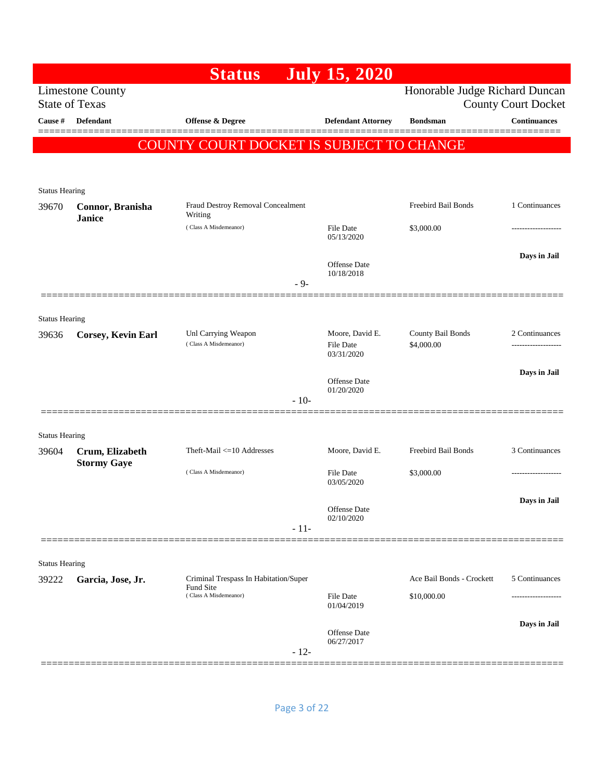|                                |                                                  | <b>Status</b>                                      | <b>July 15, 2020</b>                              |                                 |                                       |
|--------------------------------|--------------------------------------------------|----------------------------------------------------|---------------------------------------------------|---------------------------------|---------------------------------------|
|                                | <b>Limestone County</b><br><b>State of Texas</b> |                                                    |                                                   | Honorable Judge Richard Duncan  | <b>County Court Docket</b>            |
| Cause #                        | <b>Defendant</b>                                 | Offense & Degree                                   | <b>Defendant Attorney</b>                         | <b>Bondsman</b>                 | <b>Continuances</b>                   |
|                                |                                                  | COUNTY COURT DOCKET IS SUBJECT TO CHANGE           |                                                   |                                 |                                       |
|                                |                                                  |                                                    |                                                   |                                 |                                       |
| <b>Status Hearing</b>          |                                                  |                                                    |                                                   |                                 |                                       |
| 39670                          | Connor, Branisha                                 | Fraud Destroy Removal Concealment                  |                                                   | Freebird Bail Bonds             | 1 Continuances                        |
|                                | <b>Janice</b>                                    | Writing<br>(Class A Misdemeanor)                   | File Date<br>05/13/2020                           | \$3,000.00                      | -----------------                     |
|                                |                                                  | $-9-$                                              | Offense Date<br>10/18/2018                        |                                 | Days in Jail                          |
|                                |                                                  |                                                    |                                                   |                                 |                                       |
| <b>Status Hearing</b>          |                                                  |                                                    |                                                   |                                 |                                       |
| 39636                          | Corsey, Kevin Earl                               | Unl Carrying Weapon<br>(Class A Misdemeanor)       | Moore, David E.<br><b>File Date</b><br>03/31/2020 | County Bail Bonds<br>\$4,000.00 | 2 Continuances<br>------------------- |
|                                |                                                  |                                                    | <b>Offense Date</b><br>01/20/2020                 |                                 | Days in Jail                          |
|                                |                                                  | $-10-$                                             |                                                   |                                 |                                       |
|                                |                                                  |                                                    |                                                   |                                 |                                       |
| <b>Status Hearing</b><br>39604 | Crum, Elizabeth                                  | Theft-Mail $\leq 10$ Addresses                     | Moore, David E.                                   | Freebird Bail Bonds             | 3 Continuances                        |
|                                | <b>Stormy Gaye</b>                               | (Class A Misdemeanor)                              | File Date<br>03/05/2020                           | \$3,000.00                      |                                       |
|                                |                                                  |                                                    | Offense Date<br>02/10/2020                        |                                 | Days in Jail                          |
|                                |                                                  | $-11-$                                             |                                                   |                                 |                                       |
| <b>Status Hearing</b>          |                                                  |                                                    |                                                   |                                 |                                       |
| 39222                          | Garcia, Jose, Jr.                                | Criminal Trespass In Habitation/Super<br>Fund Site |                                                   | Ace Bail Bonds - Crockett       | 5 Continuances                        |
|                                |                                                  | (Class A Misdemeanor)                              | File Date<br>01/04/2019                           | \$10,000.00                     |                                       |
|                                |                                                  | $-12-$                                             | Offense Date<br>06/27/2017                        |                                 | Days in Jail                          |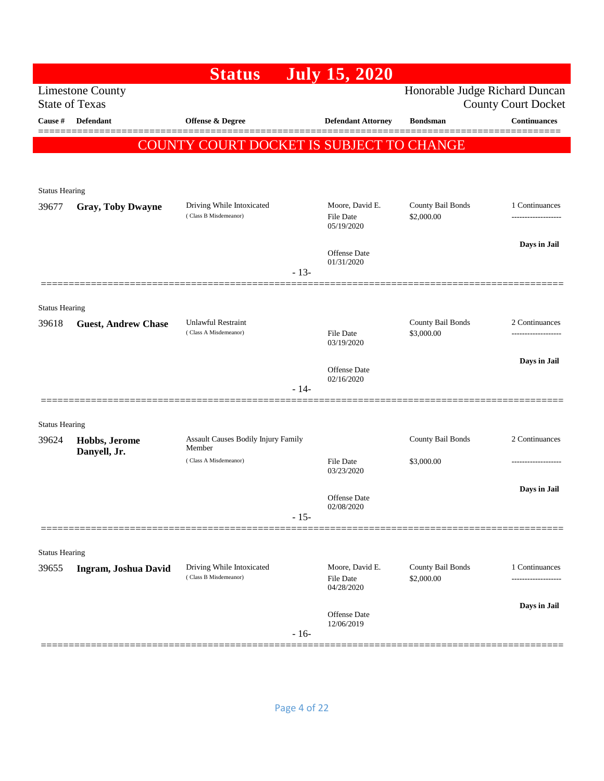|                       |                                                  | <b>Status</b>                                      |        | <b>July 15, 2020</b>                              |                                 |                                       |
|-----------------------|--------------------------------------------------|----------------------------------------------------|--------|---------------------------------------------------|---------------------------------|---------------------------------------|
|                       | <b>Limestone County</b><br><b>State of Texas</b> |                                                    |        |                                                   | Honorable Judge Richard Duncan  | <b>County Court Docket</b>            |
| Cause $\#$            | Defendant                                        | Offense & Degree                                   |        | <b>Defendant Attorney</b>                         | <b>Bondsman</b>                 | <b>Continuances</b>                   |
|                       |                                                  | COUNTY COURT DOCKET IS SUBJECT TO CHANGE           |        |                                                   |                                 |                                       |
|                       |                                                  |                                                    |        |                                                   |                                 |                                       |
| <b>Status Hearing</b> |                                                  |                                                    |        |                                                   |                                 |                                       |
| 39677                 | <b>Gray, Toby Dwayne</b>                         | Driving While Intoxicated<br>(Class B Misdemeanor) |        | Moore, David E.<br><b>File Date</b><br>05/19/2020 | County Bail Bonds<br>\$2,000.00 | 1 Continuances                        |
|                       |                                                  |                                                    | $-13-$ | Offense Date<br>01/31/2020                        |                                 | Days in Jail                          |
|                       |                                                  |                                                    |        |                                                   |                                 |                                       |
| <b>Status Hearing</b> |                                                  |                                                    |        |                                                   |                                 |                                       |
| 39618                 | <b>Guest, Andrew Chase</b>                       | <b>Unlawful Restraint</b><br>(Class A Misdemeanor) |        | File Date<br>03/19/2020                           | County Bail Bonds<br>\$3,000.00 | 2 Continuances<br>                    |
|                       |                                                  |                                                    |        | Offense Date<br>02/16/2020                        |                                 | Days in Jail                          |
|                       |                                                  |                                                    | $-14-$ |                                                   |                                 |                                       |
| <b>Status Hearing</b> |                                                  |                                                    |        |                                                   |                                 |                                       |
| 39624                 | Hobbs, Jerome<br>Danyell, Jr.                    | Assault Causes Bodily Injury Family<br>Member      |        |                                                   | County Bail Bonds               | 2 Continuances                        |
|                       |                                                  | (Class A Misdemeanor)                              |        | File Date<br>03/23/2020                           | \$3,000.00                      |                                       |
|                       |                                                  |                                                    |        | Offense Date<br>02/08/2020                        |                                 | Days in Jail                          |
|                       |                                                  |                                                    | $-15-$ |                                                   |                                 |                                       |
| <b>Status Hearing</b> |                                                  |                                                    |        |                                                   |                                 |                                       |
| 39655                 | Ingram, Joshua David                             | Driving While Intoxicated<br>(Class B Misdemeanor) |        | Moore, David E.<br><b>File Date</b><br>04/28/2020 | County Bail Bonds<br>\$2,000.00 | 1 Continuances<br>------------------- |
|                       |                                                  |                                                    | $-16-$ | Offense Date<br>12/06/2019                        |                                 | Days in Jail                          |
|                       |                                                  |                                                    |        |                                                   |                                 |                                       |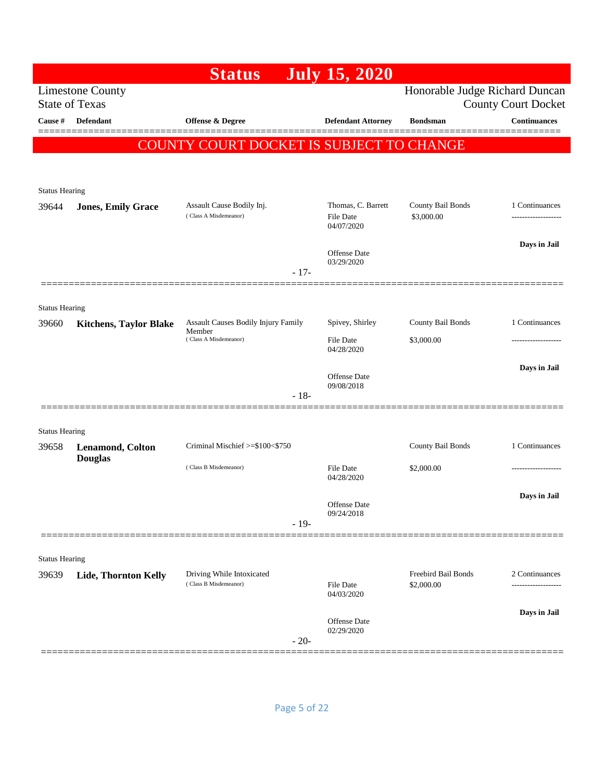|                       |                                                  | <b>Status</b>                                      | <b>July 15, 2020</b>                   |                                   |                                                   |
|-----------------------|--------------------------------------------------|----------------------------------------------------|----------------------------------------|-----------------------------------|---------------------------------------------------|
|                       | <b>Limestone County</b><br><b>State of Texas</b> |                                                    |                                        | Honorable Judge Richard Duncan    |                                                   |
| Cause #               | <b>Defendant</b>                                 | Offense & Degree                                   | <b>Defendant Attorney</b>              | <b>Bondsman</b>                   | <b>County Court Docket</b><br><b>Continuances</b> |
|                       |                                                  | COUNTY COURT DOCKET IS SUBJECT TO CHANGE           |                                        |                                   |                                                   |
|                       |                                                  |                                                    |                                        |                                   |                                                   |
| <b>Status Hearing</b> |                                                  |                                                    |                                        |                                   |                                                   |
| 39644                 | <b>Jones, Emily Grace</b>                        | Assault Cause Bodily Inj.<br>(Class A Misdemeanor) | Thomas, C. Barrett<br><b>File Date</b> | County Bail Bonds<br>\$3,000.00   | 1 Continuances<br>                                |
|                       |                                                  |                                                    | 04/07/2020                             |                                   | Days in Jail                                      |
|                       |                                                  | $-17-$                                             | <b>Offense</b> Date<br>03/29/2020      |                                   |                                                   |
|                       |                                                  |                                                    |                                        |                                   |                                                   |
| <b>Status Hearing</b> |                                                  |                                                    |                                        |                                   |                                                   |
| 39660                 | <b>Kitchens, Taylor Blake</b>                    | Assault Causes Bodily Injury Family<br>Member      | Spivey, Shirley                        | County Bail Bonds                 | 1 Continuances                                    |
|                       | (Class A Misdemeanor)                            |                                                    | File Date<br>04/28/2020                | \$3,000.00                        |                                                   |
|                       |                                                  |                                                    | Offense Date                           |                                   | Days in Jail                                      |
|                       |                                                  | $-18-$                                             | 09/08/2018                             |                                   |                                                   |
|                       |                                                  |                                                    |                                        |                                   |                                                   |
| <b>Status Hearing</b> |                                                  | Criminal Mischief >=\$100<\$750                    |                                        | County Bail Bonds                 | 1 Continuances                                    |
| 39658                 | Lenamond, Colton<br><b>Douglas</b>               |                                                    |                                        |                                   |                                                   |
|                       |                                                  | (Class B Misdemeanor)                              | <b>File Date</b><br>04/28/2020         | \$2,000.00                        |                                                   |
|                       |                                                  |                                                    | Offense Date                           |                                   | Days in Jail                                      |
|                       |                                                  | $-19-$                                             | 09/24/2018                             |                                   |                                                   |
|                       |                                                  |                                                    |                                        |                                   |                                                   |
| <b>Status Hearing</b> |                                                  |                                                    |                                        |                                   |                                                   |
| 39639                 | Lide, Thornton Kelly                             | Driving While Intoxicated<br>(Class B Misdemeanor) | File Date<br>04/03/2020                | Freebird Bail Bonds<br>\$2,000.00 | 2 Continuances                                    |
|                       |                                                  |                                                    | Offense Date                           |                                   | Days in Jail                                      |
|                       |                                                  | $-20-$                                             | 02/29/2020                             |                                   |                                                   |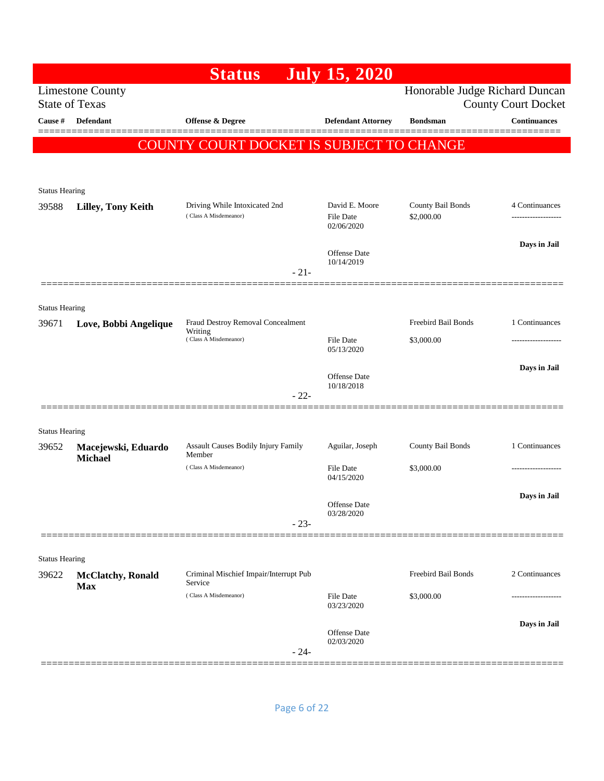|                       |                                                  | <b>Status</b>                                          | <b>July 15, 2020</b>                             |                                 |                            |
|-----------------------|--------------------------------------------------|--------------------------------------------------------|--------------------------------------------------|---------------------------------|----------------------------|
|                       | <b>Limestone County</b><br><b>State of Texas</b> |                                                        |                                                  | Honorable Judge Richard Duncan  | <b>County Court Docket</b> |
| Cause $\#$            | <b>Defendant</b>                                 | Offense & Degree                                       | <b>Defendant Attorney</b>                        | <b>Bondsman</b>                 | <b>Continuances</b>        |
|                       |                                                  | COUNTY COURT DOCKET IS SUBJECT TO CHANGE               |                                                  |                                 |                            |
|                       |                                                  |                                                        |                                                  |                                 |                            |
| <b>Status Hearing</b> |                                                  |                                                        |                                                  |                                 |                            |
| 39588                 | Lilley, Tony Keith                               | Driving While Intoxicated 2nd<br>(Class A Misdemeanor) | David E. Moore<br><b>File Date</b><br>02/06/2020 | County Bail Bonds<br>\$2,000.00 | 4 Continuances             |
|                       |                                                  |                                                        | Offense Date<br>10/14/2019                       |                                 | Days in Jail               |
|                       |                                                  | $-21-$                                                 |                                                  |                                 |                            |
| <b>Status Hearing</b> |                                                  |                                                        |                                                  |                                 |                            |
| 39671                 | Love, Bobbi Angelique                            | Fraud Destroy Removal Concealment<br>Writing           |                                                  | Freebird Bail Bonds             | 1 Continuances             |
|                       |                                                  | (Class A Misdemeanor)                                  | <b>File Date</b><br>05/13/2020                   | \$3,000.00                      | ----------------           |
|                       |                                                  |                                                        | Offense Date                                     |                                 | Days in Jail               |
|                       |                                                  | $-22-$                                                 | 10/18/2018                                       |                                 |                            |
|                       |                                                  |                                                        |                                                  |                                 |                            |
| <b>Status Hearing</b> |                                                  |                                                        |                                                  |                                 |                            |
| 39652                 | Macejewski, Eduardo<br><b>Michael</b>            | Assault Causes Bodily Injury Family<br>Member          | Aguilar, Joseph                                  | County Bail Bonds               | 1 Continuances             |
|                       |                                                  | (Class A Misdemeanor)                                  | <b>File Date</b><br>04/15/2020                   | \$3,000.00                      |                            |
|                       |                                                  |                                                        | Offense Date<br>03/28/2020                       |                                 | Days in Jail               |
|                       |                                                  | $-23-$                                                 |                                                  |                                 |                            |
| <b>Status Hearing</b> |                                                  |                                                        |                                                  |                                 |                            |
| 39622                 | <b>McClatchy</b> , Ronald                        | Criminal Mischief Impair/Interrupt Pub<br>Service      |                                                  | Freebird Bail Bonds             | 2 Continuances             |
|                       | <b>Max</b>                                       | (Class A Misdemeanor)                                  | File Date<br>03/23/2020                          | \$3,000.00                      |                            |
|                       |                                                  |                                                        | Offense Date<br>02/03/2020                       |                                 | Days in Jail               |
|                       |                                                  | $-24-$                                                 |                                                  |                                 |                            |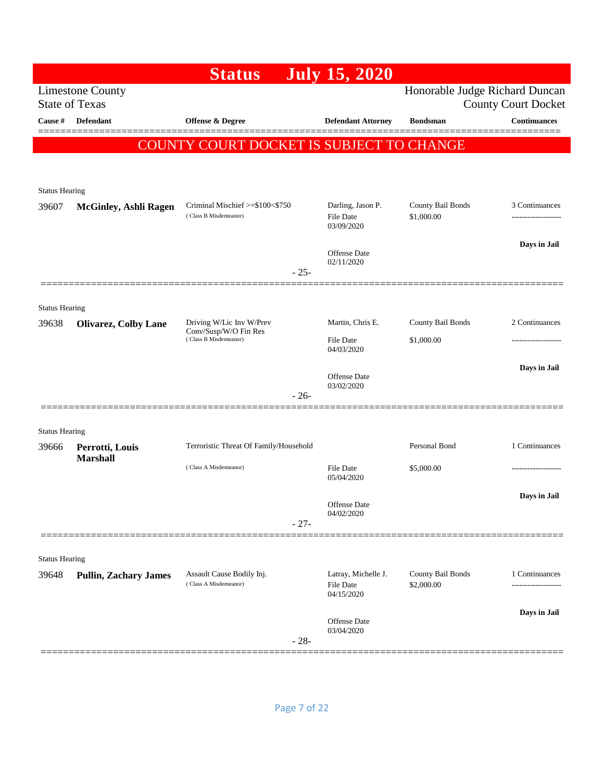|                       |                                                  | <b>Status</b>                                            | <b>July 15, 2020</b>                           |                                 |                                       |
|-----------------------|--------------------------------------------------|----------------------------------------------------------|------------------------------------------------|---------------------------------|---------------------------------------|
|                       | <b>Limestone County</b><br><b>State of Texas</b> |                                                          |                                                | Honorable Judge Richard Duncan  | <b>County Court Docket</b>            |
| Cause #               | <b>Defendant</b>                                 | Offense & Degree                                         | <b>Defendant Attorney</b>                      | <b>Bondsman</b>                 | <b>Continuances</b>                   |
|                       |                                                  | COUNTY COURT DOCKET IS SUBJECT TO CHANGE                 |                                                |                                 |                                       |
|                       |                                                  |                                                          |                                                |                                 |                                       |
| <b>Status Hearing</b> |                                                  |                                                          |                                                |                                 |                                       |
| 39607                 | <b>McGinley, Ashli Ragen</b>                     | Criminal Mischief >=\$100<\$750<br>(Class B Misdemeanor) | Darling, Jason P.<br>File Date<br>03/09/2020   | County Bail Bonds<br>\$1,000.00 | 3 Continuances<br>------------------- |
|                       |                                                  |                                                          | Offense Date<br>02/11/2020                     |                                 | Days in Jail                          |
|                       |                                                  | $-25-$                                                   |                                                |                                 |                                       |
| <b>Status Hearing</b> |                                                  |                                                          |                                                |                                 |                                       |
| 39638                 | <b>Olivarez, Colby Lane</b>                      | Driving W/Lic Inv W/Prev<br>Conv/Susp/W/O Fin Res        | Martin, Chris E.                               | County Bail Bonds               | 2 Continuances                        |
|                       |                                                  | (Class B Misdemeanor)                                    | <b>File Date</b><br>04/03/2020                 | \$1,000.00                      | ------------------                    |
|                       |                                                  |                                                          | Offense Date<br>03/02/2020                     |                                 | Days in Jail                          |
|                       |                                                  | $-26-$                                                   |                                                |                                 |                                       |
| <b>Status Hearing</b> |                                                  |                                                          |                                                |                                 |                                       |
| 39666                 | Perrotti, Louis                                  | Terroristic Threat Of Family/Household                   |                                                | Personal Bond                   | 1 Continuances                        |
|                       | <b>Marshall</b>                                  | (Class A Misdemeanor)                                    | File Date<br>05/04/2020                        | \$5,000.00                      | -----------------                     |
|                       |                                                  |                                                          | Offense Date                                   |                                 | Days in Jail                          |
|                       |                                                  | $-27-$                                                   | 04/02/2020                                     |                                 |                                       |
|                       |                                                  |                                                          |                                                |                                 |                                       |
| <b>Status Hearing</b> |                                                  |                                                          |                                                |                                 |                                       |
| 39648                 | <b>Pullin, Zachary James</b>                     | Assault Cause Bodily Inj.<br>(Class A Misdemeanor)       | Latray, Michelle J.<br>File Date<br>04/15/2020 | County Bail Bonds<br>\$2,000.00 | 1 Continuances                        |
|                       |                                                  | $-28-$                                                   | Offense Date<br>03/04/2020                     |                                 | Days in Jail                          |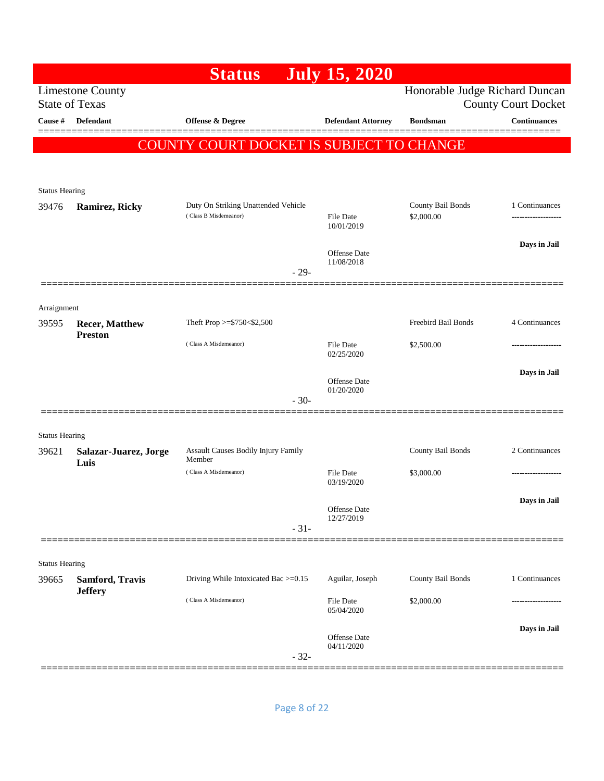|                       |                                                  | <b>Status</b>                                                | <b>July 15, 2020</b>           |                                 |                                                   |
|-----------------------|--------------------------------------------------|--------------------------------------------------------------|--------------------------------|---------------------------------|---------------------------------------------------|
|                       | <b>Limestone County</b><br><b>State of Texas</b> |                                                              |                                | Honorable Judge Richard Duncan  |                                                   |
| Cause #               | <b>Defendant</b>                                 | Offense & Degree                                             | <b>Defendant Attorney</b>      | <b>Bondsman</b>                 | <b>County Court Docket</b><br><b>Continuances</b> |
|                       |                                                  | COUNTY COURT DOCKET IS SUBJECT TO CHANGE                     |                                |                                 |                                                   |
|                       |                                                  |                                                              |                                |                                 |                                                   |
| <b>Status Hearing</b> |                                                  |                                                              |                                |                                 |                                                   |
| 39476                 | Ramirez, Ricky                                   | Duty On Striking Unattended Vehicle<br>(Class B Misdemeanor) | <b>File Date</b><br>10/01/2019 | County Bail Bonds<br>\$2,000.00 | 1 Continuances                                    |
|                       |                                                  |                                                              |                                |                                 | Days in Jail                                      |
|                       |                                                  | $-29-$                                                       | Offense Date<br>11/08/2018     |                                 |                                                   |
|                       |                                                  |                                                              |                                |                                 |                                                   |
| Arraignment           |                                                  |                                                              |                                |                                 |                                                   |
| 39595                 | <b>Recer, Matthew</b><br><b>Preston</b>          | Theft Prop >=\$750<\$2,500                                   |                                | Freebird Bail Bonds             | 4 Continuances                                    |
|                       |                                                  | (Class A Misdemeanor)                                        | File Date<br>02/25/2020        | \$2,500.00                      |                                                   |
|                       |                                                  |                                                              | Offense Date                   |                                 | Days in Jail                                      |
|                       |                                                  | $-30-$                                                       | 01/20/2020                     |                                 |                                                   |
|                       |                                                  |                                                              |                                |                                 |                                                   |
| <b>Status Hearing</b> |                                                  |                                                              |                                |                                 |                                                   |
| 39621                 | Salazar-Juarez, Jorge<br>Luis                    | Assault Causes Bodily Injury Family<br>Member                |                                | County Bail Bonds               | 2 Continuances                                    |
|                       |                                                  | (Class A Misdemeanor)                                        | <b>File Date</b><br>03/19/2020 | \$3,000.00                      |                                                   |
|                       |                                                  |                                                              | Offense Date                   |                                 | Days in Jail                                      |
|                       |                                                  | $-31-$                                                       | 12/27/2019                     |                                 |                                                   |
|                       |                                                  |                                                              |                                |                                 |                                                   |
| <b>Status Hearing</b> |                                                  |                                                              |                                |                                 |                                                   |
| 39665                 | Samford, Travis<br><b>Jeffery</b>                | Driving While Intoxicated Bac >=0.15                         | Aguilar, Joseph                | County Bail Bonds               | 1 Continuances                                    |
|                       |                                                  | (Class A Misdemeanor)                                        | File Date<br>05/04/2020        | \$2,000.00                      |                                                   |
|                       |                                                  |                                                              | <b>Offense Date</b>            |                                 | Days in Jail                                      |
|                       |                                                  | $-32-$                                                       | 04/11/2020                     |                                 |                                                   |
|                       |                                                  |                                                              |                                |                                 |                                                   |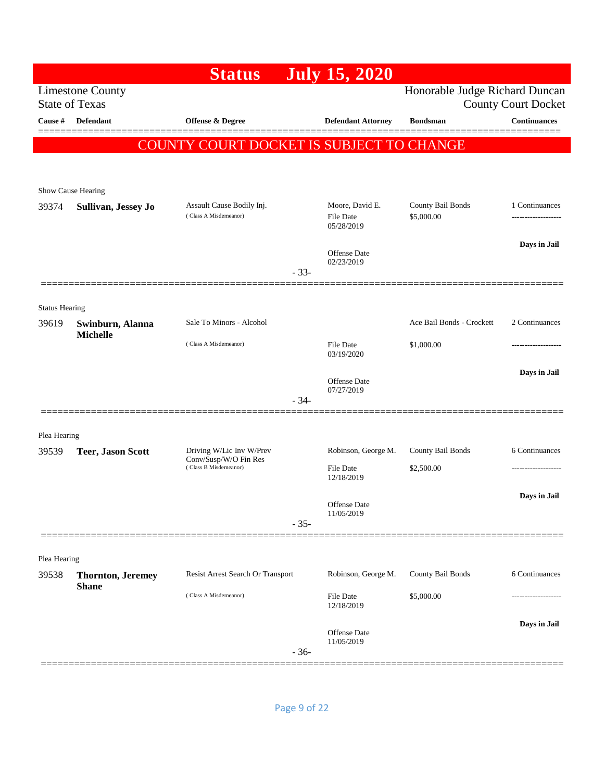|                       |                                                  | <b>Status</b>                                      | <b>July 15, 2020</b>                              |                                 |                            |
|-----------------------|--------------------------------------------------|----------------------------------------------------|---------------------------------------------------|---------------------------------|----------------------------|
|                       | <b>Limestone County</b><br><b>State of Texas</b> |                                                    |                                                   | Honorable Judge Richard Duncan  | <b>County Court Docket</b> |
| Cause $\#$            | <b>Defendant</b>                                 | Offense & Degree                                   | <b>Defendant Attorney</b>                         | <b>Bondsman</b>                 | <b>Continuances</b>        |
|                       |                                                  | COUNTY COURT DOCKET IS SUBJECT TO CHANGE           |                                                   |                                 |                            |
|                       |                                                  |                                                    |                                                   |                                 |                            |
|                       | Show Cause Hearing                               |                                                    |                                                   |                                 |                            |
| 39374                 | Sullivan, Jessey Jo                              | Assault Cause Bodily Inj.<br>(Class A Misdemeanor) | Moore, David E.<br><b>File Date</b><br>05/28/2019 | County Bail Bonds<br>\$5,000.00 | 1 Continuances             |
|                       |                                                  |                                                    | <b>Offense Date</b><br>02/23/2019                 |                                 | Days in Jail               |
|                       |                                                  | $-33-$                                             |                                                   |                                 |                            |
| <b>Status Hearing</b> |                                                  |                                                    |                                                   |                                 |                            |
| 39619                 | Swinburn, Alanna                                 | Sale To Minors - Alcohol                           |                                                   | Ace Bail Bonds - Crockett       | 2 Continuances             |
|                       | <b>Michelle</b>                                  | (Class A Misdemeanor)                              | <b>File Date</b><br>03/19/2020                    | \$1,000.00                      |                            |
|                       |                                                  |                                                    | Offense Date<br>07/27/2019                        |                                 | Days in Jail               |
|                       |                                                  | $-34-$                                             |                                                   |                                 |                            |
| Plea Hearing          |                                                  |                                                    |                                                   |                                 |                            |
| 39539                 | <b>Teer, Jason Scott</b>                         | Driving W/Lic Inv W/Prev                           | Robinson, George M.                               | County Bail Bonds               | 6 Continuances             |
|                       |                                                  | Conv/Susp/W/O Fin Res<br>(Class B Misdemeanor)     | <b>File Date</b><br>12/18/2019                    | \$2,500.00                      |                            |
|                       |                                                  |                                                    | Offense Date                                      |                                 | Days in Jail               |
|                       |                                                  | $-35-$                                             | 11/05/2019                                        |                                 |                            |
|                       |                                                  |                                                    |                                                   |                                 |                            |
| Plea Hearing          |                                                  |                                                    |                                                   |                                 |                            |
| 39538                 | <b>Thornton, Jeremey</b><br><b>Shane</b>         | Resist Arrest Search Or Transport                  | Robinson, George M.                               | County Bail Bonds               | 6 Continuances             |
|                       |                                                  | (Class A Misdemeanor)                              | <b>File Date</b><br>12/18/2019                    | \$5,000.00                      |                            |
|                       |                                                  |                                                    | Offense Date                                      |                                 | Days in Jail               |
|                       |                                                  | $-36-$                                             | 11/05/2019                                        |                                 |                            |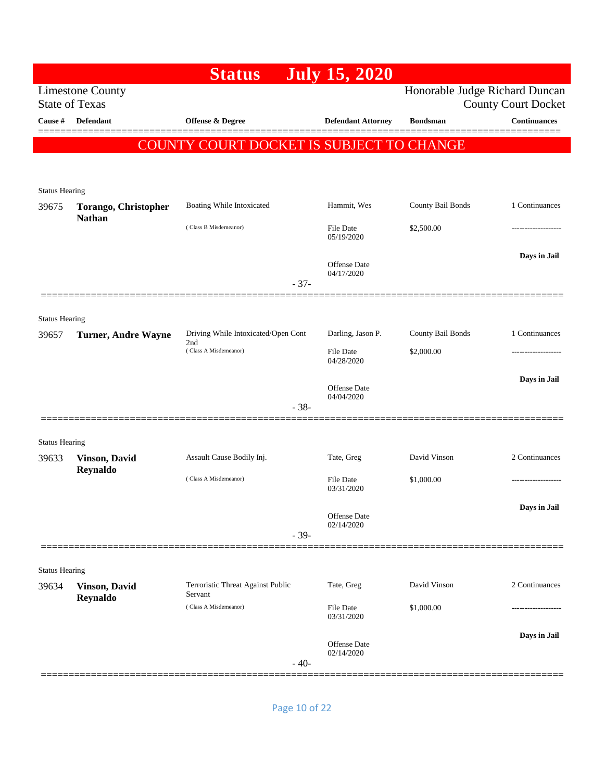|                                |                                                  | <b>Status</b>                                | <b>July 15, 2020</b>              |                                |                            |
|--------------------------------|--------------------------------------------------|----------------------------------------------|-----------------------------------|--------------------------------|----------------------------|
|                                | <b>Limestone County</b><br><b>State of Texas</b> |                                              |                                   | Honorable Judge Richard Duncan | <b>County Court Docket</b> |
| Cause #                        | Defendant                                        | <b>Offense &amp; Degree</b>                  | <b>Defendant Attorney</b>         | <b>Bondsman</b>                | <b>Continuances</b>        |
|                                |                                                  | COUNTY COURT DOCKET IS SUBJECT TO CHANGE     |                                   |                                |                            |
|                                |                                                  |                                              |                                   |                                |                            |
| <b>Status Hearing</b>          |                                                  |                                              |                                   |                                |                            |
| 39675                          | <b>Torango, Christopher</b>                      | Boating While Intoxicated                    | Hammit, Wes                       | County Bail Bonds              | 1 Continuances             |
|                                | <b>Nathan</b>                                    | (Class B Misdemeanor)                        | <b>File Date</b><br>05/19/2020    | \$2,500.00                     |                            |
|                                |                                                  |                                              | <b>Offense Date</b><br>04/17/2020 |                                | Days in Jail               |
|                                |                                                  | $-37-$                                       |                                   |                                |                            |
|                                |                                                  |                                              |                                   |                                |                            |
| <b>Status Hearing</b><br>39657 | <b>Turner, Andre Wayne</b>                       | Driving While Intoxicated/Open Cont          | Darling, Jason P.                 | County Bail Bonds              | 1 Continuances             |
|                                |                                                  | 2nd<br>(Class A Misdemeanor)                 | File Date<br>04/28/2020           | \$2,000.00                     | .                          |
|                                |                                                  |                                              |                                   |                                | Days in Jail               |
|                                |                                                  |                                              | Offense Date<br>04/04/2020        |                                |                            |
|                                |                                                  | $-38-$                                       |                                   |                                |                            |
| <b>Status Hearing</b>          |                                                  |                                              |                                   |                                |                            |
| 39633                          | <b>Vinson</b> , David                            | Assault Cause Bodily Inj.                    | Tate, Greg                        | David Vinson                   | 2 Continuances             |
|                                | Reynaldo                                         | (Class A Misdemeanor)                        | <b>File Date</b><br>03/31/2020    | \$1,000.00                     | -----------------          |
|                                |                                                  |                                              |                                   |                                | Days in Jail               |
|                                |                                                  |                                              | Offense Date<br>02/14/2020        |                                |                            |
|                                |                                                  | $-39-$                                       |                                   |                                |                            |
| <b>Status Hearing</b>          |                                                  |                                              |                                   |                                |                            |
| 39634                          | <b>Vinson</b> , David                            | Terroristic Threat Against Public<br>Servant | Tate, Greg                        | David Vinson                   | 2 Continuances             |
|                                | Reynaldo                                         | (Class A Misdemeanor)                        | File Date<br>03/31/2020           | \$1,000.00                     |                            |
|                                |                                                  | $-40-$                                       | Offense Date<br>02/14/2020        |                                | Days in Jail               |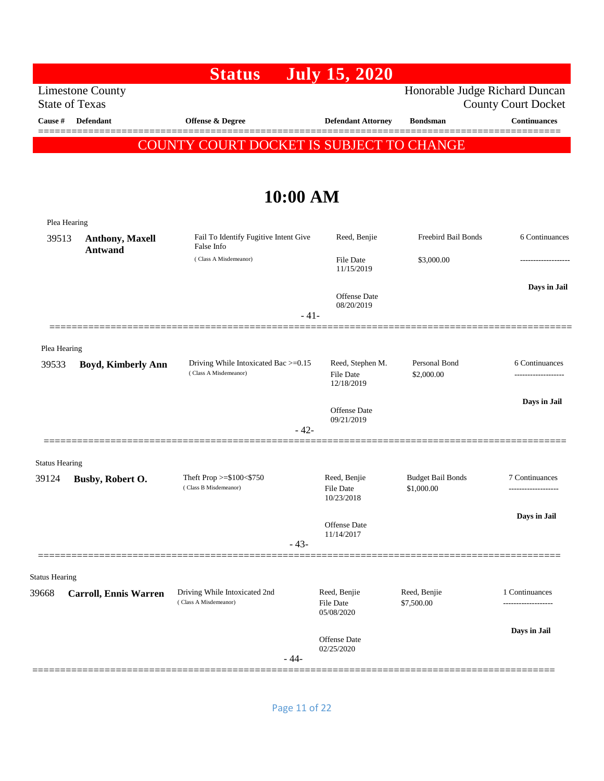|                       |                                          | <b>Status</b>                                                 | <b>July 15, 2020</b>                           |                                |                                   |
|-----------------------|------------------------------------------|---------------------------------------------------------------|------------------------------------------------|--------------------------------|-----------------------------------|
|                       | <b>Limestone County</b>                  |                                                               |                                                | Honorable Judge Richard Duncan |                                   |
|                       | <b>State of Texas</b>                    |                                                               |                                                |                                | <b>County Court Docket</b>        |
| Cause #               | <b>Defendant</b>                         | <b>Offense &amp; Degree</b>                                   | <b>Defendant Attorney</b>                      | <b>Bondsman</b>                | <b>Continuances</b>               |
|                       |                                          | COUNTY COURT DOCKET IS SUBJECT TO CHANGE                      |                                                |                                |                                   |
|                       |                                          |                                                               |                                                |                                |                                   |
|                       |                                          | 10:00 AM                                                      |                                                |                                |                                   |
|                       | Plea Hearing                             |                                                               |                                                |                                |                                   |
| 39513                 | <b>Anthony, Maxell</b><br><b>Antwand</b> | Fail To Identify Fugitive Intent Give<br>False Info           | Reed, Benjie                                   | Freebird Bail Bonds            | 6 Continuances                    |
|                       |                                          | (Class A Misdemeanor)                                         | File Date<br>11/15/2019                        | \$3,000.00                     |                                   |
|                       |                                          |                                                               | <b>Offense</b> Date<br>08/20/2019              |                                | Days in Jail                      |
|                       |                                          |                                                               | $-41-$                                         |                                |                                   |
|                       |                                          |                                                               |                                                |                                |                                   |
| Plea Hearing<br>39533 | <b>Boyd, Kimberly Ann</b>                | Driving While Intoxicated Bac >=0.15<br>(Class A Misdemeanor) | Reed, Stephen M.<br>File Date                  | Personal Bond<br>\$2,000.00    | 6 Continuances                    |
|                       |                                          |                                                               | 12/18/2019                                     |                                |                                   |
|                       |                                          |                                                               | Offense Date<br>09/21/2019                     |                                | Days in Jail                      |
|                       |                                          | $-42-$                                                        |                                                |                                |                                   |
| <b>Status Hearing</b> |                                          |                                                               |                                                |                                |                                   |
| 39124                 | Busby, Robert O.                         | Theft Prop $>= $100 < $750$                                   | Reed, Benjie                                   | <b>Budget Bail Bonds</b>       | 7 Continuances                    |
|                       |                                          | (Class B Misdemeanor)                                         | File Date<br>10/23/2018                        | \$1,000.00                     |                                   |
|                       |                                          |                                                               | <b>Offense Date</b>                            |                                | Days in Jail                      |
|                       |                                          | $-43-$                                                        | 11/14/2017                                     |                                |                                   |
|                       |                                          |                                                               |                                                |                                |                                   |
| <b>Status Hearing</b> |                                          |                                                               |                                                |                                |                                   |
| 39668                 | <b>Carroll, Ennis Warren</b>             | Driving While Intoxicated 2nd<br>(Class A Misdemeanor)        | Reed, Benjie<br><b>File Date</b><br>05/08/2020 | Reed, Benjie<br>\$7,500.00     | 1 Continuances<br>--------------- |
|                       |                                          |                                                               |                                                |                                | Days in Jail                      |
|                       |                                          |                                                               | Offense Date<br>02/25/2020                     |                                |                                   |
|                       |                                          | - 44-                                                         |                                                |                                |                                   |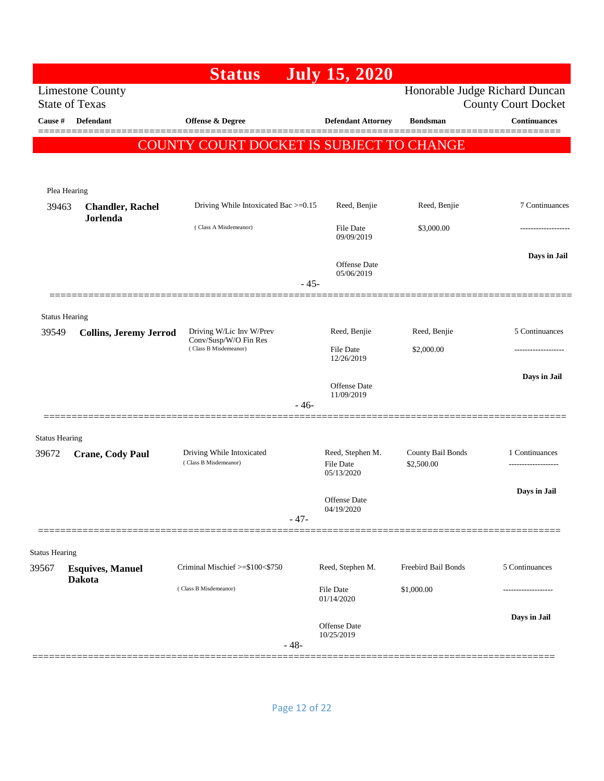|                                |                                                  | <b>Status</b>                                      | <b>July 15, 2020</b>                        |                                 |                                                   |
|--------------------------------|--------------------------------------------------|----------------------------------------------------|---------------------------------------------|---------------------------------|---------------------------------------------------|
|                                | <b>Limestone County</b><br><b>State of Texas</b> |                                                    |                                             | Honorable Judge Richard Duncan  |                                                   |
| Cause #                        | Defendant                                        | Offense & Degree                                   | <b>Defendant Attorney</b>                   | <b>Bondsman</b>                 | <b>County Court Docket</b><br><b>Continuances</b> |
|                                |                                                  | COUNTY COURT DOCKET IS SUBJECT TO CHANGE           |                                             |                                 |                                                   |
|                                |                                                  |                                                    |                                             |                                 |                                                   |
|                                |                                                  |                                                    |                                             |                                 |                                                   |
| Plea Hearing                   |                                                  |                                                    |                                             |                                 |                                                   |
| 39463                          | <b>Chandler, Rachel</b><br><b>Jorlenda</b>       | Driving While Intoxicated Bac >=0.15               | Reed, Benjie                                | Reed, Benjie                    | 7 Continuances                                    |
|                                |                                                  | (Class A Misdemeanor)                              | File Date<br>09/09/2019                     | \$3,000.00                      |                                                   |
|                                |                                                  |                                                    | <b>Offense</b> Date                         |                                 | Days in Jail                                      |
|                                |                                                  |                                                    | 05/06/2019<br>$-45-$                        |                                 |                                                   |
|                                |                                                  |                                                    |                                             |                                 |                                                   |
| <b>Status Hearing</b><br>39549 | <b>Collins, Jeremy Jerrod</b>                    | Driving W/Lic Inv W/Prev                           | Reed, Benjie                                | Reed, Benjie                    | 5 Continuances                                    |
|                                |                                                  | Conv/Susp/W/O Fin Res<br>(Class B Misdemeanor)     | File Date<br>12/26/2019                     | \$2,000.00                      |                                                   |
|                                |                                                  |                                                    | Offense Date                                |                                 | Days in Jail                                      |
|                                |                                                  | $-46-$                                             | 11/09/2019                                  |                                 |                                                   |
|                                |                                                  |                                                    |                                             |                                 |                                                   |
| <b>Status Hearing</b>          |                                                  |                                                    |                                             |                                 |                                                   |
| 39672                          | <b>Crane, Cody Paul</b>                          | Driving While Intoxicated<br>(Class B Misdemeanor) | Reed, Stephen M.<br>File Date<br>05/13/2020 | County Bail Bonds<br>\$2,500.00 | 1 Continuances<br>-------------------             |
|                                |                                                  |                                                    |                                             |                                 | Days in Jail                                      |
|                                |                                                  |                                                    | Offense Date<br>04/19/2020                  |                                 |                                                   |
|                                |                                                  | $-47-$                                             |                                             |                                 |                                                   |
| <b>Status Hearing</b>          |                                                  |                                                    |                                             |                                 |                                                   |
| 39567                          | <b>Esquives, Manuel</b><br><b>Dakota</b>         | Criminal Mischief >=\$100<\$750                    | Reed, Stephen M.                            | Freebird Bail Bonds             | 5 Continuances                                    |
|                                |                                                  | (Class B Misdemeanor)                              | <b>File Date</b><br>01/14/2020              | \$1,000.00                      |                                                   |
|                                |                                                  |                                                    | <b>Offense</b> Date                         |                                 | Days in Jail                                      |
|                                |                                                  |                                                    | 10/25/2019                                  |                                 |                                                   |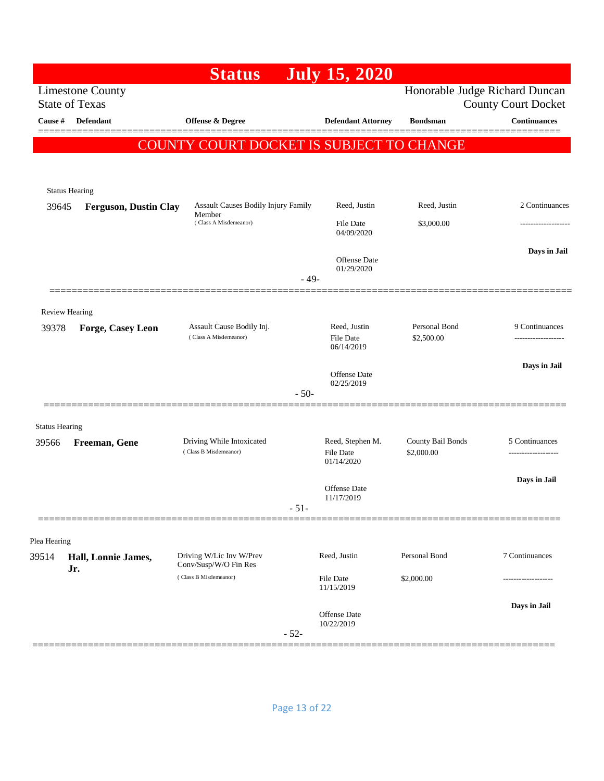|                       |                              | <b>Status</b>                                      | <b>July 15, 2020</b>                               |                                 |                            |
|-----------------------|------------------------------|----------------------------------------------------|----------------------------------------------------|---------------------------------|----------------------------|
|                       | <b>Limestone County</b>      |                                                    |                                                    | Honorable Judge Richard Duncan  |                            |
|                       | <b>State of Texas</b>        |                                                    |                                                    |                                 | <b>County Court Docket</b> |
| Cause #               | Defendant                    | <b>Offense &amp; Degree</b>                        | <b>Defendant Attorney</b>                          | <b>Bondsman</b>                 | <b>Continuances</b>        |
|                       |                              | COUNTY COURT DOCKET IS SUBJECT TO CHANGE           |                                                    |                                 |                            |
|                       |                              |                                                    |                                                    |                                 |                            |
|                       | <b>Status Hearing</b>        |                                                    |                                                    |                                 |                            |
| 39645                 | <b>Ferguson, Dustin Clay</b> | <b>Assault Causes Bodily Injury Family</b>         | Reed, Justin                                       | Reed, Justin                    | 2 Continuances             |
|                       |                              | Member<br>(Class A Misdemeanor)                    | <b>File Date</b><br>04/09/2020                     | \$3,000.00                      | -----------------          |
|                       |                              |                                                    | <b>Offense Date</b><br>01/29/2020                  |                                 | Days in Jail               |
|                       |                              | $-49-$                                             |                                                    |                                 |                            |
| Review Hearing        |                              |                                                    |                                                    |                                 |                            |
| 39378                 | Forge, Casey Leon            | Assault Cause Bodily Inj.<br>(Class A Misdemeanor) | Reed, Justin<br><b>File Date</b><br>06/14/2019     | Personal Bond<br>\$2,500.00     | 9 Continuances             |
|                       |                              |                                                    |                                                    |                                 |                            |
|                       |                              |                                                    | Offense Date                                       |                                 | Days in Jail               |
|                       |                              | $-50-$                                             | 02/25/2019                                         |                                 |                            |
|                       |                              |                                                    |                                                    |                                 |                            |
| <b>Status Hearing</b> |                              |                                                    |                                                    |                                 |                            |
| 39566                 | Freeman, Gene                | Driving While Intoxicated<br>(Class B Misdemeanor) | Reed, Stephen M.<br><b>File Date</b><br>01/14/2020 | County Bail Bonds<br>\$2,000.00 | 5 Continuances             |
|                       |                              |                                                    |                                                    |                                 | Days in Jail               |
|                       |                              |                                                    | <b>Offense Date</b><br>11/17/2019                  |                                 |                            |
|                       |                              | - 51-                                              |                                                    |                                 |                            |
| Plea Hearing          |                              |                                                    |                                                    |                                 |                            |
| 39514                 | Hall, Lonnie James,<br>Jr.   | Driving W/Lic Inv W/Prev<br>Conv/Susp/W/O Fin Res  | Reed, Justin                                       | Personal Bond                   | 7 Continuances             |
|                       |                              | (Class B Misdemeanor)                              | File Date<br>11/15/2019                            | \$2,000.00                      | -----------------          |
|                       |                              |                                                    | <b>Offense Date</b><br>10/22/2019                  |                                 | Days in Jail               |
|                       |                              | $-52-$                                             |                                                    |                                 |                            |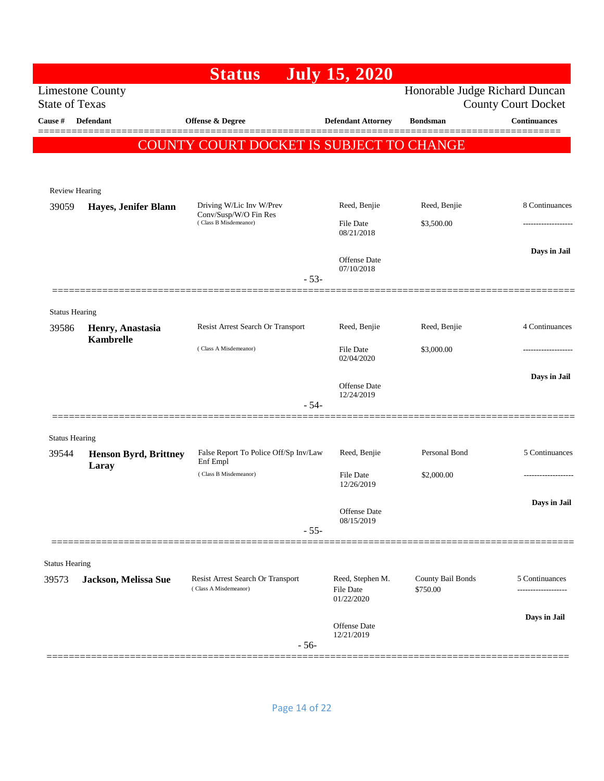|                                |                                       | <b>Status</b>                                     | July 15, 2020                     |                                                              |                     |
|--------------------------------|---------------------------------------|---------------------------------------------------|-----------------------------------|--------------------------------------------------------------|---------------------|
| <b>State of Texas</b>          | <b>Limestone County</b>               |                                                   |                                   | Honorable Judge Richard Duncan<br><b>County Court Docket</b> |                     |
| Cause #                        | <b>Defendant</b>                      | Offense & Degree                                  | <b>Defendant Attorney</b>         | <b>Bondsman</b>                                              | <b>Continuances</b> |
|                                |                                       | COUNTY COURT DOCKET IS SUBJECT TO CHANGE          |                                   |                                                              |                     |
|                                | Review Hearing                        |                                                   |                                   |                                                              |                     |
| 39059                          | Hayes, Jenifer Blann                  | Driving W/Lic Inv W/Prev<br>Conv/Susp/W/O Fin Res | Reed, Benjie                      | Reed, Benjie                                                 | 8 Continuances      |
|                                |                                       | (Class B Misdemeanor)                             | File Date<br>08/21/2018           | \$3,500.00                                                   |                     |
|                                |                                       | $-53-$                                            | <b>Offense Date</b><br>07/10/2018 |                                                              | Days in Jail        |
|                                |                                       |                                                   |                                   |                                                              |                     |
| <b>Status Hearing</b>          |                                       |                                                   |                                   |                                                              |                     |
| 39586                          | Henry, Anastasia                      | Resist Arrest Search Or Transport                 | Reed, Benjie                      | Reed, Benjie                                                 | 4 Continuances      |
|                                | <b>Kambrelle</b>                      | (Class A Misdemeanor)                             | File Date<br>02/04/2020           | \$3,000.00                                                   |                     |
|                                |                                       |                                                   | <b>Offense Date</b><br>12/24/2019 |                                                              | Days in Jail        |
|                                |                                       | $-54-$                                            |                                   |                                                              |                     |
| <b>Status Hearing</b>          |                                       |                                                   |                                   |                                                              |                     |
| 39544                          | <b>Henson Byrd, Brittney</b><br>Laray | False Report To Police Off/Sp Inv/Law<br>Enf Empl | Reed, Benjie                      | Personal Bond                                                | 5 Continuances      |
|                                |                                       | (Class B Misdemeanor)                             | <b>File Date</b><br>12/26/2019    | \$2,000.00                                                   |                     |
|                                |                                       |                                                   | Offense Date<br>08/15/2019        |                                                              | Days in Jail        |
|                                |                                       | $-55-$                                            |                                   |                                                              |                     |
|                                |                                       |                                                   |                                   |                                                              |                     |
| <b>Status Hearing</b><br>39573 | Jackson, Melissa Sue                  | Resist Arrest Search Or Transport                 | Reed, Stephen M.                  | County Bail Bonds                                            | 5 Continuances      |
|                                |                                       | (Class A Misdemeanor)                             | File Date<br>01/22/2020           | \$750.00                                                     |                     |
|                                |                                       | $-56-$                                            | Offense Date<br>12/21/2019        |                                                              | Days in Jail        |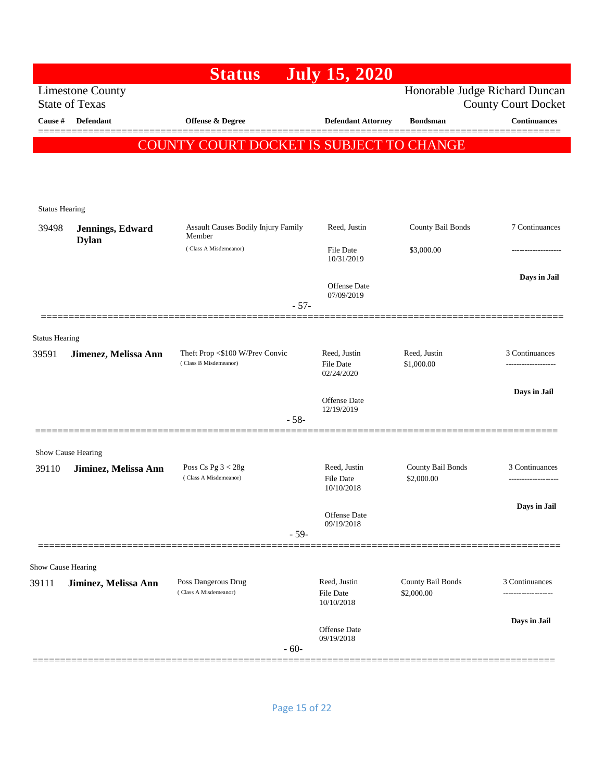|                           |                                  | <b>Status</b>                                            | <b>July 15, 2020</b>                           |                                 |                            |
|---------------------------|----------------------------------|----------------------------------------------------------|------------------------------------------------|---------------------------------|----------------------------|
|                           | <b>Limestone County</b>          |                                                          |                                                | Honorable Judge Richard Duncan  |                            |
|                           | <b>State of Texas</b>            |                                                          |                                                |                                 | <b>County Court Docket</b> |
| Cause #                   | Defendant                        | <b>Offense &amp; Degree</b>                              | <b>Defendant Attorney</b>                      | <b>Bondsman</b>                 | <b>Continuances</b>        |
|                           |                                  | COUNTY COURT DOCKET IS SUBJECT TO CHANGE                 |                                                |                                 |                            |
|                           |                                  |                                                          |                                                |                                 |                            |
|                           |                                  |                                                          |                                                |                                 |                            |
| <b>Status Hearing</b>     |                                  |                                                          |                                                |                                 |                            |
| 39498                     | Jennings, Edward<br><b>Dylan</b> | <b>Assault Causes Bodily Injury Family</b><br>Member     | Reed, Justin                                   | County Bail Bonds               | 7 Continuances             |
|                           |                                  | (Class A Misdemeanor)                                    | <b>File Date</b><br>10/31/2019                 | \$3,000.00                      |                            |
|                           |                                  |                                                          | Offense Date<br>07/09/2019                     |                                 | Days in Jail               |
|                           |                                  | $-57-$                                                   |                                                |                                 |                            |
| <b>Status Hearing</b>     |                                  |                                                          |                                                |                                 |                            |
| 39591                     | Jimenez, Melissa Ann             | Theft Prop <\$100 W/Prev Convic<br>(Class B Misdemeanor) | Reed, Justin<br><b>File Date</b><br>02/24/2020 | Reed, Justin<br>\$1,000.00      | 3 Continuances             |
|                           |                                  |                                                          |                                                |                                 | Days in Jail               |
|                           |                                  |                                                          | <b>Offense</b> Date<br>12/19/2019              |                                 |                            |
|                           |                                  | $-58-$                                                   |                                                |                                 |                            |
|                           | Show Cause Hearing               |                                                          |                                                |                                 |                            |
| 39110                     | Jiminez, Melissa Ann             | Poss Cs Pg $3 < 28g$                                     | Reed, Justin                                   | County Bail Bonds               | 3 Continuances             |
|                           |                                  | (Class A Misdemeanor)                                    | <b>File Date</b><br>10/10/2018                 | \$2,000.00                      | -----------------          |
|                           |                                  |                                                          | Offense Date                                   |                                 | Days in Jail               |
|                           |                                  | $-59-$                                                   | 09/19/2018                                     |                                 |                            |
|                           |                                  |                                                          |                                                |                                 |                            |
| <b>Show Cause Hearing</b> |                                  |                                                          |                                                |                                 |                            |
| 39111                     | Jiminez, Melissa Ann             | Poss Dangerous Drug<br>(Class A Misdemeanor)             | Reed, Justin<br><b>File Date</b><br>10/10/2018 | County Bail Bonds<br>\$2,000.00 | 3 Continuances<br>         |
|                           |                                  |                                                          |                                                |                                 | Days in Jail               |
|                           |                                  | $-60-$                                                   | Offense Date<br>09/19/2018                     |                                 |                            |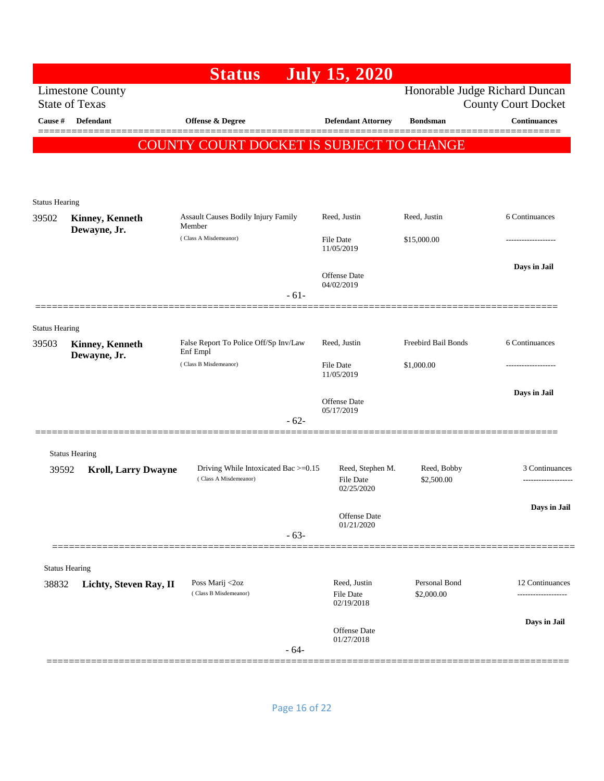|                       |                                    | <b>Status</b>                              | <b>July 15, 2020</b>                    |                                |                                                   |
|-----------------------|------------------------------------|--------------------------------------------|-----------------------------------------|--------------------------------|---------------------------------------------------|
|                       | <b>Limestone County</b>            |                                            |                                         | Honorable Judge Richard Duncan |                                                   |
| Cause #               | <b>State of Texas</b><br>Defendant | Offense & Degree                           | <b>Defendant Attorney</b>               | <b>Bondsman</b>                | <b>County Court Docket</b><br><b>Continuances</b> |
|                       |                                    |                                            |                                         |                                |                                                   |
|                       |                                    | COUNTY COURT DOCKET IS SUBJECT TO CHANGE   |                                         |                                |                                                   |
|                       |                                    |                                            |                                         |                                |                                                   |
| <b>Status Hearing</b> |                                    |                                            |                                         |                                |                                                   |
| 39502                 | <b>Kinney, Kenneth</b>             | <b>Assault Causes Bodily Injury Family</b> | Reed, Justin                            | Reed, Justin                   | 6 Continuances                                    |
|                       | Dewayne, Jr.                       | Member<br>(Class A Misdemeanor)            | File Date<br>11/05/2019                 | \$15,000.00                    | -------------------                               |
|                       |                                    |                                            | <b>Offense</b> Date<br>04/02/2019       |                                | Days in Jail                                      |
|                       |                                    | $-61-$                                     |                                         |                                |                                                   |
| <b>Status Hearing</b> |                                    |                                            |                                         |                                |                                                   |
| 39503                 | Kinney, Kenneth                    | False Report To Police Off/Sp Inv/Law      | Reed, Justin                            | Freebird Bail Bonds            | 6 Continuances                                    |
|                       | Dewayne, Jr.                       | Enf Empl<br>(Class B Misdemeanor)          | File Date                               | \$1,000.00                     | ----------------                                  |
|                       |                                    |                                            | 11/05/2019                              |                                |                                                   |
|                       |                                    |                                            | Offense Date<br>05/17/2019              |                                | Days in Jail                                      |
|                       |                                    | $-62-$                                     |                                         |                                |                                                   |
|                       | <b>Status Hearing</b>              |                                            |                                         |                                |                                                   |
| 39592                 | <b>Kroll, Larry Dwayne</b>         | Driving While Intoxicated Bac >=0.15       | Reed, Stephen M.                        | Reed, Bobby                    | 3 Continuances                                    |
|                       |                                    | (Class A Misdemeanor)                      | File Date<br>02/25/2020                 | \$2,500.00                     |                                                   |
|                       |                                    |                                            | Offense Date                            |                                | Days in Jail                                      |
|                       |                                    | $-63-$                                     | 01/21/2020                              |                                |                                                   |
|                       |                                    |                                            |                                         |                                |                                                   |
| <b>Status Hearing</b> |                                    |                                            |                                         |                                |                                                   |
| 38832                 | Lichty, Steven Ray, II             | Poss Marij <2oz<br>(Class B Misdemeanor)   | Reed, Justin<br>File Date<br>02/19/2018 | Personal Bond<br>\$2,000.00    | 12 Continuances                                   |
|                       |                                    |                                            |                                         |                                | Days in Jail                                      |
|                       |                                    | $-64-$                                     | Offense Date<br>01/27/2018              |                                |                                                   |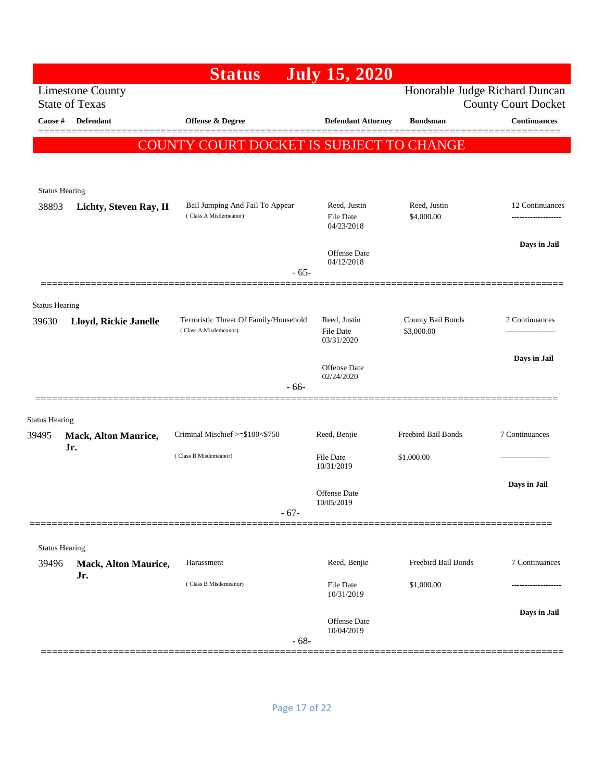|                                |                                                  | <b>Status</b>                                                   | <b>July 15, 2020</b>                    |                                 |                                   |
|--------------------------------|--------------------------------------------------|-----------------------------------------------------------------|-----------------------------------------|---------------------------------|-----------------------------------|
|                                | <b>Limestone County</b><br><b>State of Texas</b> |                                                                 |                                         | Honorable Judge Richard Duncan  | <b>County Court Docket</b>        |
| Cause #                        | Defendant                                        | Offense & Degree                                                | <b>Defendant Attorney</b>               | <b>Bondsman</b>                 | <b>Continuances</b>               |
|                                |                                                  | COUNTY COURT DOCKET IS SUBJECT TO CHANGE                        |                                         |                                 |                                   |
|                                |                                                  |                                                                 |                                         |                                 |                                   |
| <b>Status Hearing</b>          |                                                  |                                                                 |                                         |                                 |                                   |
| 38893                          | Lichty, Steven Ray, II                           | Bail Jumping And Fail To Appear<br>(Class A Misdemeanor)        | Reed, Justin<br>File Date<br>04/23/2018 | Reed, Justin<br>\$4,000.00      | 12 Continuances                   |
|                                |                                                  |                                                                 | Offense Date<br>04/12/2018              |                                 | Days in Jail                      |
|                                |                                                  | $-65-$                                                          |                                         |                                 |                                   |
| <b>Status Hearing</b><br>39630 | Lloyd, Rickie Janelle                            | Terroristic Threat Of Family/Household<br>(Class A Misdemeanor) | Reed, Justin<br><b>File Date</b>        | County Bail Bonds<br>\$3,000.00 | 2 Continuances<br>--------------- |
|                                |                                                  |                                                                 | 03/31/2020                              |                                 |                                   |
|                                |                                                  | $-66-$                                                          | Offense Date<br>02/24/2020              |                                 | Days in Jail                      |
|                                |                                                  |                                                                 |                                         |                                 |                                   |
| <b>Status Hearing</b><br>39495 | <b>Mack, Alton Maurice,</b>                      | Criminal Mischief >=\$100<\$750                                 | Reed, Benjie                            | Freebird Bail Bonds             | 7 Continuances                    |
|                                | Jr.                                              | (Class B Misdemeanor)                                           | <b>File Date</b><br>10/31/2019          | \$1,000.00                      |                                   |
|                                |                                                  |                                                                 | <b>Offense</b> Date<br>10/05/2019       |                                 | Days in Jail                      |
|                                |                                                  | $-67-$                                                          |                                         |                                 |                                   |
| <b>Status Hearing</b>          |                                                  |                                                                 |                                         |                                 |                                   |
| 39496                          | <b>Mack, Alton Maurice,</b>                      | Harassment                                                      | Reed, Benjie                            | Freebird Bail Bonds             | 7 Continuances                    |
|                                | Jr.                                              | (Class B Misdemeanor)                                           | File Date<br>10/31/2019                 | \$1,000.00                      |                                   |
|                                |                                                  | $-68-$                                                          | Offense Date<br>10/04/2019              |                                 | Days in Jail                      |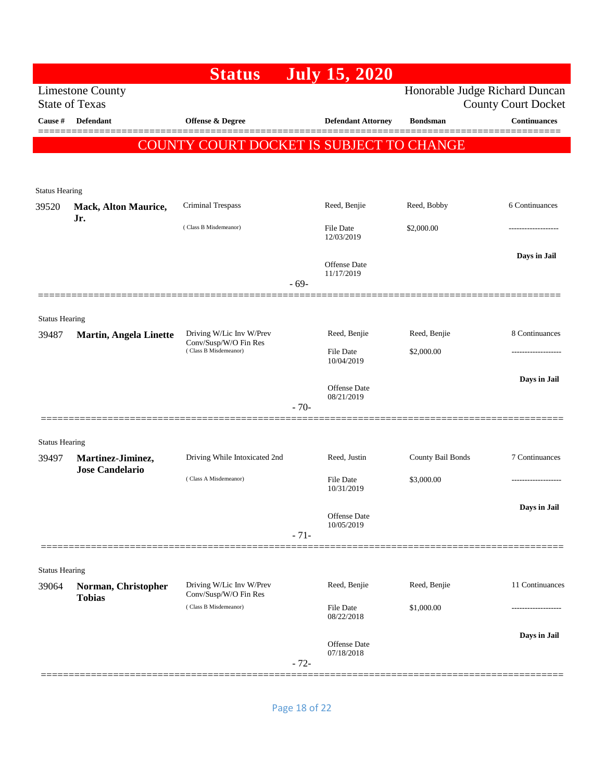|                       |                                                  | <b>Status</b>                                     |        | July 15, 2020                     |                                |                            |
|-----------------------|--------------------------------------------------|---------------------------------------------------|--------|-----------------------------------|--------------------------------|----------------------------|
|                       | <b>Limestone County</b><br><b>State of Texas</b> |                                                   |        |                                   | Honorable Judge Richard Duncan | <b>County Court Docket</b> |
| Cause #               | <b>Defendant</b>                                 | Offense & Degree                                  |        | <b>Defendant Attorney</b>         | <b>Bondsman</b>                | <b>Continuances</b>        |
|                       |                                                  | COUNTY COURT DOCKET IS SUBJECT TO CHANGE          |        |                                   |                                |                            |
|                       |                                                  |                                                   |        |                                   |                                |                            |
| <b>Status Hearing</b> |                                                  |                                                   |        |                                   |                                |                            |
| 39520                 | <b>Mack, Alton Maurice,</b>                      | <b>Criminal Trespass</b>                          |        | Reed, Benjie                      | Reed, Bobby                    | 6 Continuances             |
|                       | Jr.                                              | (Class B Misdemeanor)                             |        | File Date<br>12/03/2019           | \$2,000.00                     | -----------------          |
|                       |                                                  |                                                   |        | Offense Date<br>11/17/2019        |                                | Days in Jail               |
|                       |                                                  |                                                   | $-69-$ |                                   |                                |                            |
| <b>Status Hearing</b> |                                                  |                                                   |        |                                   |                                |                            |
| 39487                 | <b>Martin, Angela Linette</b>                    | Driving W/Lic Inv W/Prev                          |        | Reed, Benjie                      | Reed, Benjie                   | 8 Continuances             |
|                       |                                                  | Conv/Susp/W/O Fin Res<br>(Class B Misdemeanor)    |        | <b>File Date</b><br>10/04/2019    | \$2,000.00                     |                            |
|                       |                                                  |                                                   |        | <b>Offense Date</b><br>08/21/2019 |                                | Days in Jail               |
|                       |                                                  |                                                   | $-70-$ |                                   |                                |                            |
| <b>Status Hearing</b> |                                                  |                                                   |        |                                   |                                |                            |
| 39497                 | Martinez-Jiminez,                                | Driving While Intoxicated 2nd                     |        | Reed, Justin                      | County Bail Bonds              | 7 Continuances             |
|                       | <b>Jose Candelario</b>                           | (Class A Misdemeanor)                             |        | <b>File Date</b><br>10/31/2019    | \$3,000.00                     |                            |
|                       |                                                  |                                                   |        | Offense Date                      |                                | Days in Jail               |
|                       |                                                  |                                                   | $-71-$ | 10/05/2019                        |                                |                            |
|                       |                                                  |                                                   |        |                                   |                                |                            |
| <b>Status Hearing</b> |                                                  |                                                   |        |                                   |                                | 11 Continuances            |
| 39064                 | Norman, Christopher<br><b>Tobias</b>             | Driving W/Lic Inv W/Prev<br>Conv/Susp/W/O Fin Res |        | Reed, Benjie                      | Reed, Benjie                   |                            |
|                       |                                                  | (Class B Misdemeanor)                             |        | File Date<br>08/22/2018           | \$1,000.00                     |                            |
|                       |                                                  |                                                   |        | Offense Date<br>07/18/2018        |                                | Days in Jail               |
|                       |                                                  |                                                   | $-72-$ |                                   |                                |                            |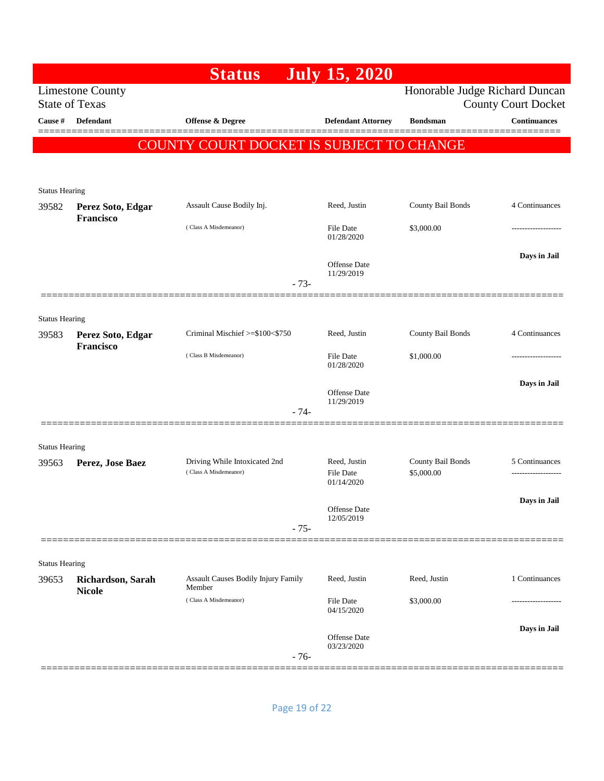|                                |                                                  | <b>Status</b>                                          | <b>July 15, 2020</b>             |                                 |                            |
|--------------------------------|--------------------------------------------------|--------------------------------------------------------|----------------------------------|---------------------------------|----------------------------|
|                                | <b>Limestone County</b><br><b>State of Texas</b> |                                                        |                                  | Honorable Judge Richard Duncan  | <b>County Court Docket</b> |
| Cause $\#$                     | <b>Defendant</b>                                 | Offense & Degree                                       | <b>Defendant Attorney</b>        | <b>Bondsman</b>                 | <b>Continuances</b>        |
|                                |                                                  | COUNTY COURT DOCKET IS SUBJECT TO CHANGE               |                                  |                                 |                            |
|                                |                                                  |                                                        |                                  |                                 |                            |
|                                |                                                  |                                                        |                                  |                                 |                            |
| <b>Status Hearing</b>          |                                                  |                                                        |                                  |                                 |                            |
| 39582                          | Perez Soto, Edgar<br>Francisco                   | Assault Cause Bodily Inj.                              | Reed, Justin                     | County Bail Bonds               | 4 Continuances             |
|                                |                                                  | (Class A Misdemeanor)                                  | <b>File Date</b><br>01/28/2020   | \$3,000.00                      |                            |
|                                |                                                  |                                                        | Offense Date<br>11/29/2019       |                                 | Days in Jail               |
|                                |                                                  | $-73-$                                                 |                                  |                                 |                            |
|                                |                                                  |                                                        |                                  |                                 |                            |
| <b>Status Hearing</b><br>39583 |                                                  | Criminal Mischief >=\$100<\$750                        | Reed, Justin                     | County Bail Bonds               | 4 Continuances             |
|                                | Perez Soto, Edgar<br>Francisco                   |                                                        |                                  |                                 |                            |
|                                |                                                  | (Class B Misdemeanor)                                  | <b>File Date</b><br>01/28/2020   | \$1,000.00                      | .                          |
|                                |                                                  |                                                        | <b>Offense Date</b>              |                                 | Days in Jail               |
|                                |                                                  | $-74-$                                                 | 11/29/2019                       |                                 |                            |
|                                |                                                  |                                                        |                                  |                                 |                            |
| <b>Status Hearing</b>          |                                                  |                                                        |                                  |                                 |                            |
| 39563                          | Perez, Jose Baez                                 | Driving While Intoxicated 2nd<br>(Class A Misdemeanor) | Reed, Justin<br><b>File Date</b> | County Bail Bonds<br>\$5,000.00 | 5 Continuances             |
|                                |                                                  |                                                        | 01/14/2020                       |                                 |                            |
|                                |                                                  |                                                        | Offense Date                     |                                 | Days in Jail               |
|                                |                                                  | $-75-$                                                 | 12/05/2019                       |                                 |                            |
|                                |                                                  |                                                        |                                  |                                 |                            |
| <b>Status Hearing</b>          |                                                  |                                                        |                                  |                                 |                            |
| 39653                          | Richardson, Sarah<br><b>Nicole</b>               | <b>Assault Causes Bodily Injury Family</b><br>Member   | Reed, Justin                     | Reed, Justin                    | 1 Continuances             |
|                                |                                                  | (Class A Misdemeanor)                                  | <b>File Date</b><br>04/15/2020   | \$3,000.00                      |                            |
|                                |                                                  |                                                        |                                  |                                 | Days in Jail               |
|                                |                                                  | $-76-$                                                 | Offense Date<br>03/23/2020       |                                 |                            |
|                                |                                                  |                                                        |                                  |                                 |                            |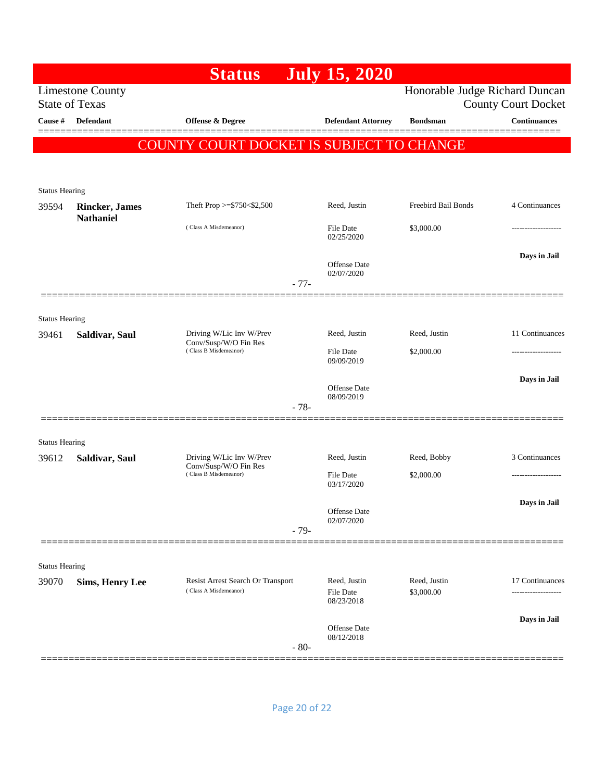|                                |                                                  | <b>Status</b>                                              | <b>July 15, 2020</b>                    |                                |                            |
|--------------------------------|--------------------------------------------------|------------------------------------------------------------|-----------------------------------------|--------------------------------|----------------------------|
|                                | <b>Limestone County</b><br><b>State of Texas</b> |                                                            |                                         | Honorable Judge Richard Duncan | <b>County Court Docket</b> |
| Cause #                        | <b>Defendant</b>                                 | <b>Offense &amp; Degree</b>                                | <b>Defendant Attorney</b>               | <b>Bondsman</b>                | <b>Continuances</b>        |
|                                |                                                  | COUNTY COURT DOCKET IS SUBJECT TO CHANGE                   |                                         |                                |                            |
|                                |                                                  |                                                            |                                         |                                |                            |
| <b>Status Hearing</b>          |                                                  |                                                            |                                         |                                |                            |
| 39594                          | <b>Rincker</b> , James<br><b>Nathaniel</b>       | Theft Prop >= $$750<$2,500$                                | Reed, Justin                            | Freebird Bail Bonds            | 4 Continuances             |
|                                |                                                  | (Class A Misdemeanor)                                      | File Date<br>02/25/2020                 | \$3,000.00                     | ------------------         |
|                                |                                                  |                                                            | <b>Offense</b> Date<br>02/07/2020       |                                | Days in Jail               |
|                                |                                                  | $-77-$                                                     |                                         |                                |                            |
| <b>Status Hearing</b>          |                                                  |                                                            |                                         |                                |                            |
| 39461                          | Saldivar, Saul                                   | Driving W/Lic Inv W/Prev<br>Conv/Susp/W/O Fin Res          | Reed, Justin                            | Reed, Justin                   | 11 Continuances            |
|                                |                                                  | (Class B Misdemeanor)                                      | File Date<br>09/09/2019                 | \$2,000.00                     |                            |
|                                |                                                  |                                                            | <b>Offense</b> Date                     |                                | Days in Jail               |
|                                |                                                  | $-78-$                                                     | 08/09/2019                              |                                |                            |
|                                | =============                                    |                                                            |                                         |                                |                            |
| <b>Status Hearing</b><br>39612 | Saldivar, Saul                                   | Driving W/Lic Inv W/Prev                                   | Reed, Justin                            | Reed, Bobby                    | 3 Continuances             |
|                                |                                                  | Conv/Susp/W/O Fin Res<br>(Class B Misdemeanor)             | <b>File Date</b>                        | \$2,000.00                     | .                          |
|                                |                                                  |                                                            | 03/17/2020                              |                                |                            |
|                                |                                                  |                                                            | Offense Date<br>02/07/2020              |                                | Days in Jail               |
|                                |                                                  | $-79-$                                                     |                                         |                                |                            |
| <b>Status Hearing</b>          |                                                  |                                                            |                                         |                                |                            |
| 39070                          | <b>Sims, Henry Lee</b>                           | Resist Arrest Search Or Transport<br>(Class A Misdemeanor) | Reed, Justin<br>File Date<br>08/23/2018 | Reed, Justin<br>\$3,000.00     | 17 Continuances<br>.       |
|                                |                                                  |                                                            | Offense Date<br>08/12/2018              |                                | Days in Jail               |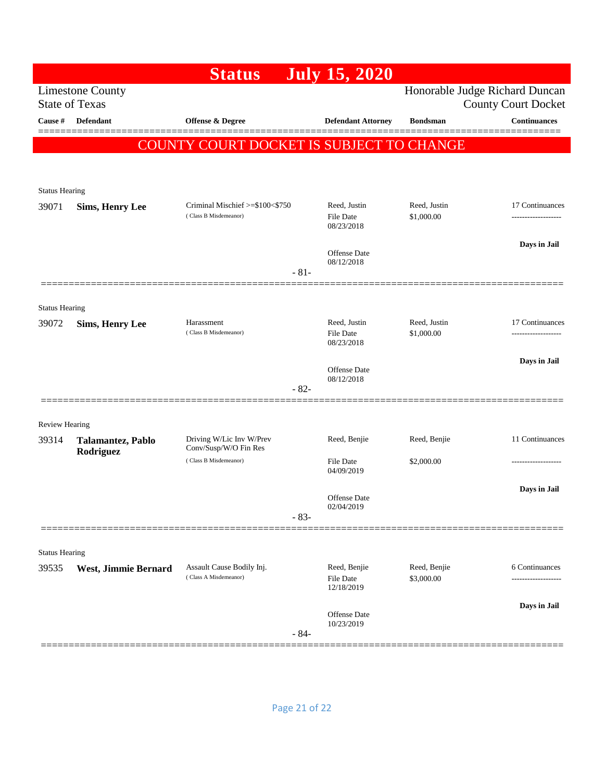|                       |                                                  | <b>Status</b>                                            | <b>July 15, 2020</b>             |                                |                                       |
|-----------------------|--------------------------------------------------|----------------------------------------------------------|----------------------------------|--------------------------------|---------------------------------------|
|                       | <b>Limestone County</b><br><b>State of Texas</b> |                                                          |                                  | Honorable Judge Richard Duncan | <b>County Court Docket</b>            |
| Cause $\#$            | Defendant                                        | Offense & Degree                                         | <b>Defendant Attorney</b>        | <b>Bondsman</b>                | <b>Continuances</b>                   |
|                       |                                                  | COUNTY COURT DOCKET IS SUBJECT TO CHANGE                 |                                  |                                |                                       |
|                       |                                                  |                                                          |                                  |                                |                                       |
|                       |                                                  |                                                          |                                  |                                |                                       |
| <b>Status Hearing</b> |                                                  |                                                          |                                  |                                |                                       |
| 39071                 | <b>Sims, Henry Lee</b>                           | Criminal Mischief >=\$100<\$750<br>(Class B Misdemeanor) | Reed, Justin<br><b>File Date</b> | Reed, Justin<br>\$1,000.00     | 17 Continuances                       |
|                       |                                                  |                                                          | 08/23/2018                       |                                |                                       |
|                       |                                                  |                                                          | <b>Offense Date</b>              |                                | Days in Jail                          |
|                       |                                                  | $-81-$                                                   | 08/12/2018                       |                                |                                       |
|                       |                                                  |                                                          |                                  |                                |                                       |
| <b>Status Hearing</b> |                                                  |                                                          |                                  |                                |                                       |
| 39072                 | <b>Sims, Henry Lee</b>                           | Harassment<br>(Class B Misdemeanor)                      | Reed, Justin<br><b>File Date</b> | Reed, Justin<br>\$1,000.00     | 17 Continuances<br>------------------ |
|                       |                                                  |                                                          | 08/23/2018                       |                                |                                       |
|                       |                                                  |                                                          | Offense Date                     |                                | Days in Jail                          |
|                       |                                                  | $-82-$                                                   | 08/12/2018                       |                                |                                       |
|                       |                                                  |                                                          |                                  |                                |                                       |
| <b>Review Hearing</b> |                                                  |                                                          |                                  |                                |                                       |
| 39314                 | <b>Talamantez, Pablo</b>                         | Driving W/Lic Inv W/Prev                                 | Reed, Benjie                     | Reed, Benjie                   | 11 Continuances                       |
|                       | Rodriguez                                        | Conv/Susp/W/O Fin Res<br>(Class B Misdemeanor)           | <b>File Date</b>                 | \$2,000.00                     |                                       |
|                       |                                                  |                                                          | 04/09/2019                       |                                |                                       |
|                       |                                                  |                                                          | <b>Offense Date</b>              |                                | Days in Jail                          |
|                       |                                                  | $-83-$                                                   | 02/04/2019                       |                                |                                       |
|                       |                                                  |                                                          |                                  |                                |                                       |
| <b>Status Hearing</b> |                                                  |                                                          |                                  |                                |                                       |
| 39535                 | <b>West, Jimmie Bernard</b>                      | Assault Cause Bodily Inj.<br>(Class A Misdemeanor)       | Reed, Benjie                     | Reed, Benjie                   | 6 Continuances                        |
|                       |                                                  |                                                          | <b>File Date</b><br>12/18/2019   | \$3,000.00                     | ------------                          |
|                       |                                                  |                                                          | <b>Offense Date</b>              |                                | Days in Jail                          |
|                       |                                                  |                                                          | 10/23/2019                       |                                |                                       |
|                       |                                                  | $-84-$                                                   |                                  |                                |                                       |